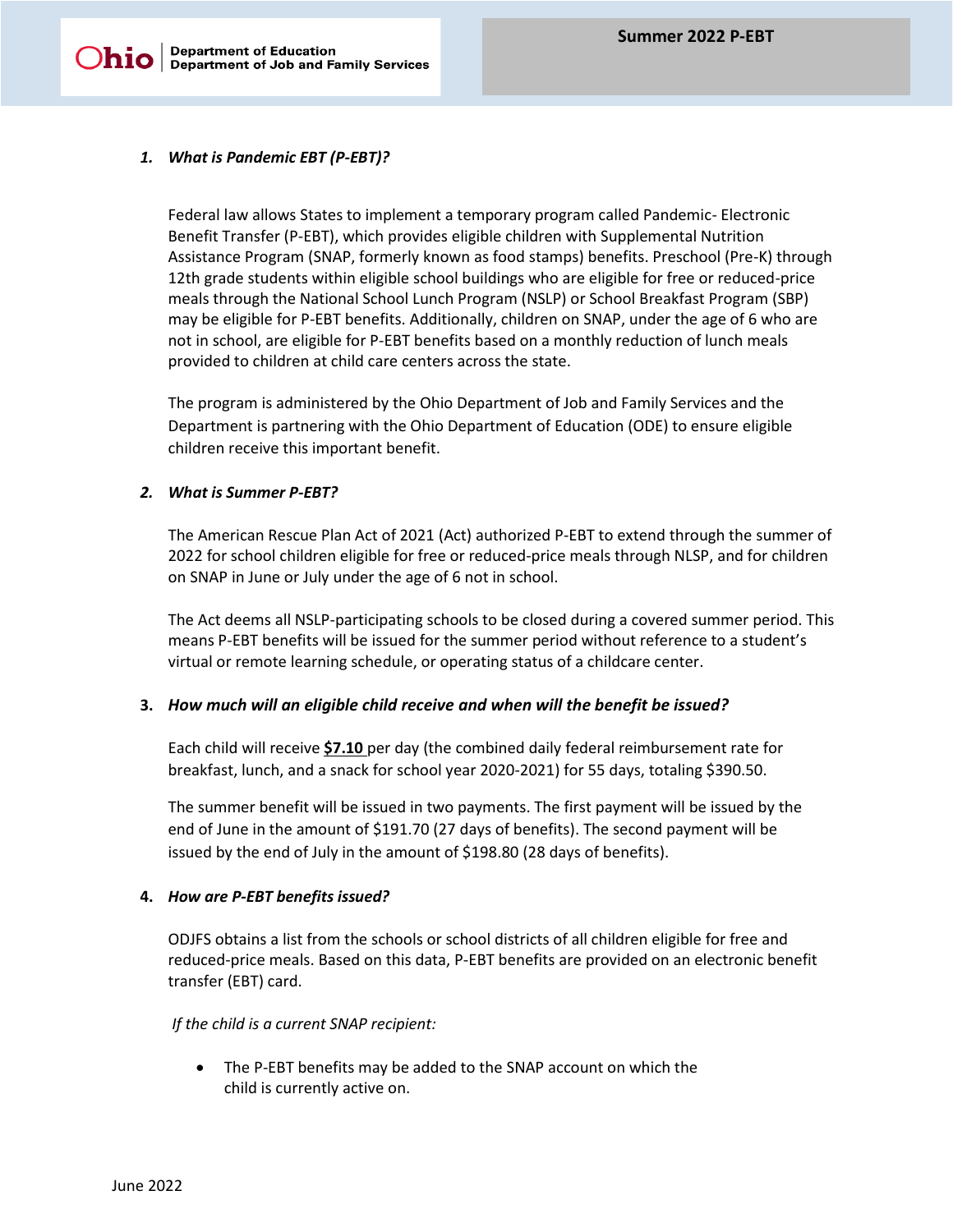# *1. What is Pandemic EBT (P-EBT)?*

Federal law allows States to implement a temporary program called Pandemic- Electronic Benefit Transfer (P-EBT), which provides eligible children with Supplemental Nutrition Assistance Program (SNAP, formerly known as food stamps) benefits. Preschool (Pre-K) through 12th grade students within eligible school buildings who are eligible for free or reduced-price meals through the National School Lunch Program (NSLP) or School Breakfast Program (SBP) may be eligible for P-EBT benefits. Additionally, children on SNAP, under the age of 6 who are not in school, are eligible for P-EBT benefits based on a monthly reduction of lunch meals provided to children at child care centers across the state.

The program is administered by the Ohio Department of Job and Family Services and the Department is partnering with the Ohio Department of Education (ODE) to ensure eligible children receive this important benefit.

## *2. What is Summer P-EBT?*

The American Rescue Plan Act of 2021 (Act) authorized P-EBT to extend through the summer of 2022 for school children eligible for free or reduced-price meals through NLSP, and for children on SNAP in June or July under the age of 6 not in school.

The Act deems all NSLP-participating schools to be closed during a covered summer period. This means P-EBT benefits will be issued for the summer period without reference to a student's virtual or remote learning schedule, or operating status of a childcare center.

## **3.** *How much will an eligible child receive and when will the benefit be issued?*

Each child will receive **\$7.10** per day (the combined daily federal reimbursement rate for breakfast, lunch, and a snack for school year 2020-2021) for 55 days, totaling \$390.50.

The summer benefit will be issued in two payments. The first payment will be issued by the end of June in the amount of \$191.70 (27 days of benefits). The second payment will be issued by the end of July in the amount of \$198.80 (28 days of benefits).

## **4.** *How are P-EBT benefits issued?*

ODJFS obtains a list from the schools or school districts of all children eligible for free and reduced-price meals. Based on this data, P-EBT benefits are provided on an electronic benefit transfer (EBT) card.

## *If the child is a current SNAP recipient:*

• The P-EBT benefits may be added to the SNAP account on which the child is currently active on.